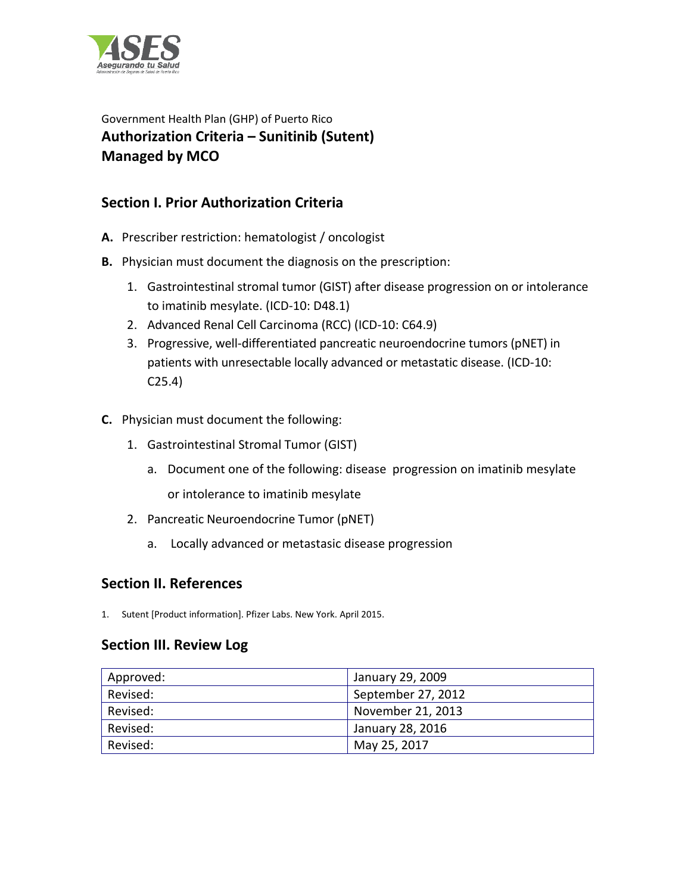

Government Health Plan (GHP) of Puerto Rico **Authorization Criteria – Sunitinib (Sutent) Managed by MCO** 

## **Section I. Prior Authorization Criteria**

- **A.** Prescriber restriction: hematologist / oncologist
- **B.** Physician must document the diagnosis on the prescription:
	- 1. Gastrointestinal stromal tumor (GIST) after disease progression on or intolerance to imatinib mesylate. (ICD-10: D48.1)
	- 2. Advanced Renal Cell Carcinoma (RCC) (ICD-10: C64.9)
	- 3. Progressive, well-differentiated pancreatic neuroendocrine tumors (pNET) in patients with unresectable locally advanced or metastatic disease. (ICD-10: C25.4)
- **C.** Physician must document the following:
	- 1. Gastrointestinal Stromal Tumor (GIST)
		- a. Document one of the following: disease progression on imatinib mesylate or intolerance to imatinib mesylate
	- 2. Pancreatic Neuroendocrine Tumor (pNET)
		- a. Locally advanced or metastasic disease progression

## **Section II. References**

1. Sutent [Product information]. Pfizer Labs. New York. April 2015.

## **Section III. Review Log**

| Approved: | January 29, 2009   |
|-----------|--------------------|
| Revised:  | September 27, 2012 |
| Revised:  | November 21, 2013  |
| Revised:  | January 28, 2016   |
| Revised:  | May 25, 2017       |